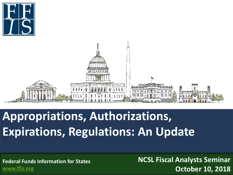

#### **Appropriations, Authorizations, Expirations, Regulations: An Update**

**Federal Funds Information for States [www.ffis.org](http://www.ffis.org/)**

**NCSL Fiscal Analysts Seminar October 10, 2018**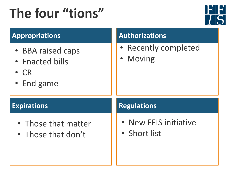# **The four "tions"**



| <b>Appropriations</b>                                           | <b>Authorizations</b>            |  |  |
|-----------------------------------------------------------------|----------------------------------|--|--|
| • BBA raised caps<br>• Enacted bills<br><b>CR</b><br>• End game | • Recently completed<br>• Moving |  |  |
|                                                                 |                                  |  |  |
| <b>Expirations</b>                                              | <b>Regulations</b>               |  |  |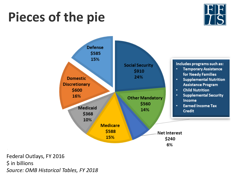#### **Pieces of the pie**





Federal Outlays, FY 2016 \$ in billions *Source: OMB Historical Tables, FY 2018*

 $\mathbf{r} = \mathbf{r} \cdot \mathbf{r}$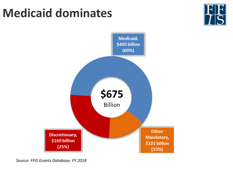#### **Medicaid dominates**





*Source: FFIS Grants Database, FY 2018*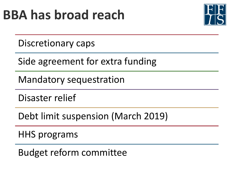

Discretionary caps

Side agreement for extra funding

Mandatory sequestration

Disaster relief

Debt limit suspension (March 2019)

HHS programs

Budget reform committee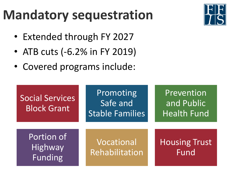## **Mandatory sequestration**

- Extended through FY 2027
- ATB cuts (-6.2% in FY 2019)
- Covered programs include:

| <b>Social Services</b><br><b>Block Grant</b>   | Promoting<br>Safe and<br><b>Stable Families</b> | Prevention<br>and Public<br><b>Health Fund</b> |
|------------------------------------------------|-------------------------------------------------|------------------------------------------------|
| Portion of<br><b>Highway</b><br><b>Funding</b> | Vocational<br>Rehabilitation                    | <b>Housing Trust</b><br>Fund                   |

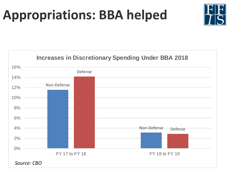## **Appropriations: BBA helped**



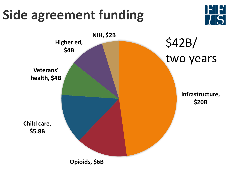# **Side agreement funding**



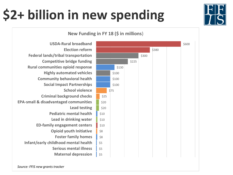# **\$2+ billion in new spending**



*Source: FFIS new grants tracker*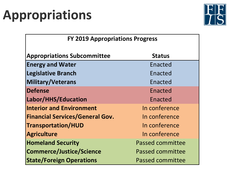# **Appropriations**



| <b>FY 2019 Appropriations Progress</b> |                         |  |  |  |
|----------------------------------------|-------------------------|--|--|--|
| <b>Appropriations Subcommittee</b>     | <b>Status</b>           |  |  |  |
| <b>Energy and Water</b>                | Enacted                 |  |  |  |
| <b>Legislative Branch</b>              | Enacted                 |  |  |  |
| <b>Military/Veterans</b>               | Enacted                 |  |  |  |
| <b>Defense</b>                         | Enacted                 |  |  |  |
| Labor/HHS/Education                    | Enacted                 |  |  |  |
| <b>Interior and Environment</b>        | In conference           |  |  |  |
| <b>Financial Services/General Gov.</b> | In conference           |  |  |  |
| <b>Transportation/HUD</b>              | In conference           |  |  |  |
| <b>Agriculture</b>                     | In conference           |  |  |  |
| <b>Homeland Security</b>               | <b>Passed committee</b> |  |  |  |
| <b>Commerce/Justice/Science</b>        | <b>Passed committee</b> |  |  |  |
| <b>State/Foreign Operations</b>        | <b>Passed committee</b> |  |  |  |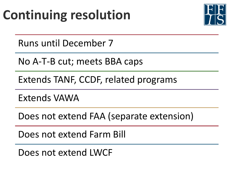### **Continuing resolution**



Runs until December 7

No A-T-B cut; meets BBA caps

Extends TANF, CCDF, related programs

Extends VAWA

Does not extend FAA (separate extension)

Does not extend Farm Bill

Does not extend LWCF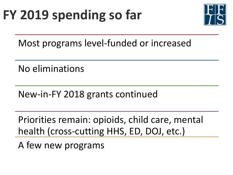

Most programs level-funded or increased

No eliminations

New-in-FY 2018 grants continued

Priorities remain: opioids, child care, mental health (cross-cutting HHS, ED, DOJ, etc.)

A few new programs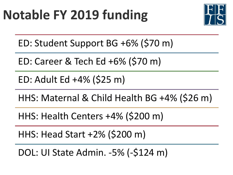### **Notable FY 2019 funding**



ED: Student Support BG +6% (\$70 m)

ED: Career & Tech Ed +6% (\$70 m)

ED: Adult Ed +4% (\$25 m)

HHS: Maternal & Child Health BG +4% (\$26 m)

HHS: Health Centers +4% (\$200 m)

HHS: Head Start +2% (\$200 m)

DOL: UI State Admin. -5% (-\$124 m)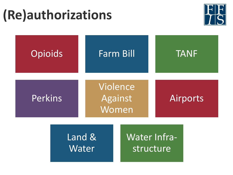# **(Re)authorizations**



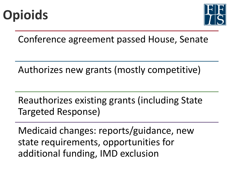



Conference agreement passed House, Senate

Authorizes new grants (mostly competitive)

Reauthorizes existing grants (including State Targeted Response)

Medicaid changes: reports/guidance, new state requirements, opportunities for additional funding, IMD exclusion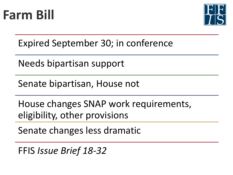#### **Farm Bill**



Expired September 30; in conference

Needs bipartisan support

Senate bipartisan, House not

House changes SNAP work requirements, eligibility, other provisions

Senate changes less dramatic

FFIS *Issue Brief 18-32*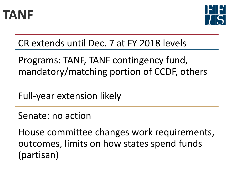



CR extends until Dec. 7 at FY 2018 levels

Programs: TANF, TANF contingency fund, mandatory/matching portion of CCDF, others

Full-year extension likely

Senate: no action

House committee changes work requirements, outcomes, limits on how states spend funds (partisan)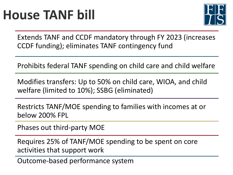

Extends TANF and CCDF mandatory through FY 2023 (increases CCDF funding); eliminates TANF contingency fund

Prohibits federal TANF spending on child care and child welfare

Modifies transfers: Up to 50% on child care, WIOA, and child welfare (limited to 10%); SSBG (eliminated)

Restricts TANF/MOE spending to families with incomes at or below 200% FPL

Phases out third-party MOE

Requires 25% of TANF/MOE spending to be spent on core activities that support work

Outcome-based performance system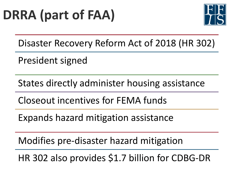

Disaster Recovery Reform Act of 2018 (HR 302)

President signed

States directly administer housing assistance

Closeout incentives for FEMA funds

Expands hazard mitigation assistance

Modifies pre-disaster hazard mitigation

HR 302 also provides \$1.7 billion for CDBG-DR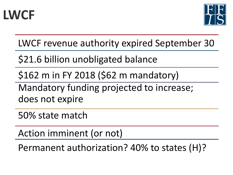



LWCF revenue authority expired September 30

\$21.6 billion unobligated balance

\$162 m in FY 2018 (\$62 m mandatory)

Mandatory funding projected to increase; does not expire

50% state match

Action imminent (or not)

Permanent authorization? 40% to states (H)?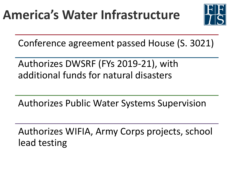

Conference agreement passed House (S. 3021)

#### Authorizes DWSRF (FYs 2019-21), with additional funds for natural disasters

Authorizes Public Water Systems Supervision

Authorizes WIFIA, Army Corps projects, school lead testing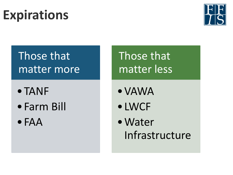## **Expirations**



#### Those that matter more

#### •TANF

- •Farm Bill
- •FAA

Those that matter less

- •VAWA
- •LWCF

•Water Infrastructure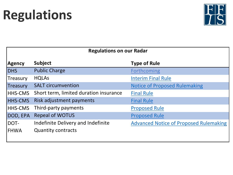# **Regulations**



| <b>Regulations on our Radar</b> |                                        |                                               |  |  |  |
|---------------------------------|----------------------------------------|-----------------------------------------------|--|--|--|
| <b>Agency</b>                   | <b>Subject</b>                         | <b>Type of Rule</b>                           |  |  |  |
| <b>DHS</b>                      | <b>Public Charge</b>                   | Forthcoming                                   |  |  |  |
| Treasury                        | <b>HQLAs</b>                           | <b>Interim Final Rule</b>                     |  |  |  |
| Treasury                        | <b>SALT circumvention</b>              | <b>Notice of Proposed Rulemaking</b>          |  |  |  |
| <b>HHS-CMS</b>                  | Short term, limited duration insurance | <b>Final Rule</b>                             |  |  |  |
| <b>HHS-CMS</b>                  | Risk adjustment payments               | <b>Final Rule</b>                             |  |  |  |
| <b>HHS-CMS</b>                  | Third-party payments                   | <b>Proposed Rule</b>                          |  |  |  |
| DOD, EPA                        | <b>Repeal of WOTUS</b>                 | <b>Proposed Rule</b>                          |  |  |  |
| DOT-                            | Indefinite Delivery and Indefinite     | <b>Advanced Notice of Proposed Rulemaking</b> |  |  |  |
| <b>FHWA</b>                     | <b>Quantity contracts</b>              |                                               |  |  |  |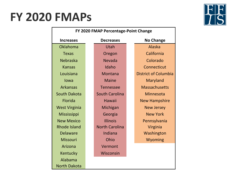#### **FY 2020 FMAPs**



| FY 2020 FMAP Percentage-Point Change |  |                       |  |                             |
|--------------------------------------|--|-----------------------|--|-----------------------------|
| <b>Increases</b>                     |  | <b>Decreases</b>      |  | <b>No Change</b>            |
| Oklahoma                             |  | Utah                  |  | <b>Alaska</b>               |
| <b>Texas</b>                         |  | Oregon                |  | California                  |
| Nebraska                             |  | <b>Nevada</b>         |  | Colorado                    |
| <b>Kansas</b>                        |  | Idaho                 |  | Connecticut                 |
| Louisiana                            |  | Montana               |  | <b>District of Columbia</b> |
| lowa                                 |  | <b>Maine</b>          |  | Maryland                    |
| <b>Arkansas</b>                      |  | <b>Tennessee</b>      |  | <b>Massachusetts</b>        |
| <b>South Dakota</b>                  |  | <b>South Carolina</b> |  | Minnesota                   |
| <b>Florida</b>                       |  | <b>Hawaii</b>         |  | <b>New Hampshire</b>        |
| <b>West Virginia</b>                 |  | Michigan              |  | <b>New Jersey</b>           |
| Mississippi                          |  | Georgia               |  | <b>New York</b>             |
| <b>New Mexico</b>                    |  | <b>Illinois</b>       |  | Pennsylvania                |
| <b>Rhode Island</b>                  |  | <b>North Carolina</b> |  | Virginia                    |
| <b>Delaware</b>                      |  | Indiana               |  | Washington                  |
| <b>Missouri</b>                      |  | Ohio                  |  | Wyoming                     |
| Arizona                              |  | Vermont               |  |                             |
| Kentucky                             |  | Wisconsin             |  |                             |
| Alabama                              |  |                       |  |                             |
| <b>North Dakota</b>                  |  |                       |  |                             |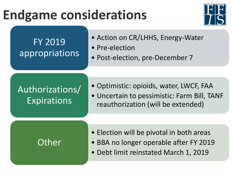## **Endgame considerations**



#### FY 2019 appropriations

- Action on CR/LHHS, Energy-Water
- Pre-election
- Post-election, pre-December 7

#### Authorizations/ Expirations

- Optimistic: opioids, water, LWCF, FAA
- Uncertain to pessimistic: Farm Bill, TANF reauthorization (will be extended)

#### **Other**

- Election will be pivotal in both areas
- BBA no longer operable after FY 2019
- Debt limit reinstated March 1, 2019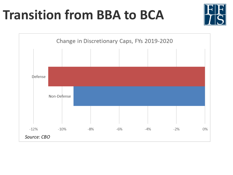### **Transition from BBA to BCA**



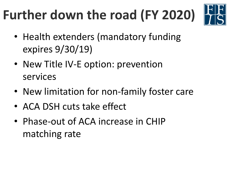# **Further down the road (FY 2020)**



- Health extenders (mandatory funding expires 9/30/19)
- New Title IV-E option: prevention services
- New limitation for non-family foster care
- ACA DSH cuts take effect
- Phase-out of ACA increase in CHIP matching rate